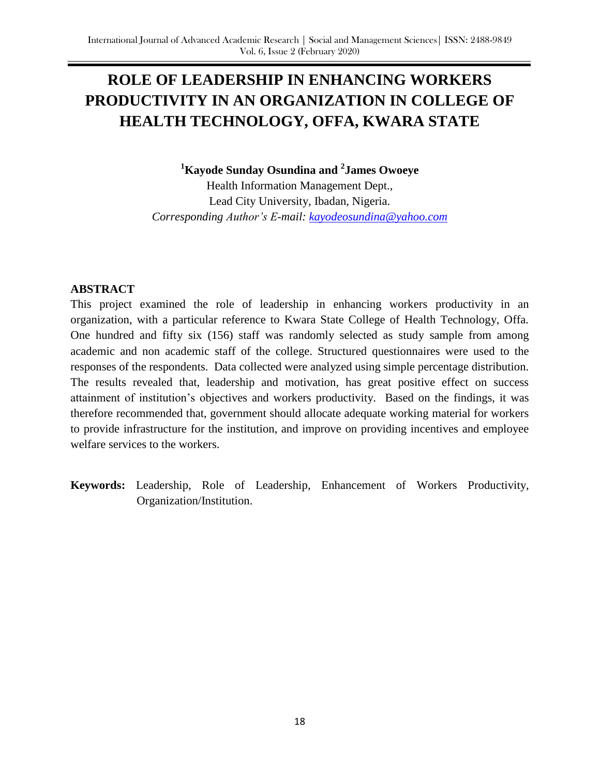# **ROLE OF LEADERSHIP IN ENHANCING WORKERS PRODUCTIVITY IN AN ORGANIZATION IN COLLEGE OF HEALTH TECHNOLOGY, OFFA, KWARA STATE**

**<sup>1</sup>Kayode Sunday Osundina and <sup>2</sup> James Owoeye**

Health Information Management Dept., Lead City University, Ibadan, Nigeria. *Corresponding Author's E-mail: [kayodeosundina@yahoo.com](mailto:kayodeosundina@yahoo.com)*

## **ABSTRACT**

This project examined the role of leadership in enhancing workers productivity in an organization, with a particular reference to Kwara State College of Health Technology, Offa. One hundred and fifty six (156) staff was randomly selected as study sample from among academic and non academic staff of the college. Structured questionnaires were used to the responses of the respondents. Data collected were analyzed using simple percentage distribution. The results revealed that, leadership and motivation, has great positive effect on success attainment of institution's objectives and workers productivity. Based on the findings, it was therefore recommended that, government should allocate adequate working material for workers to provide infrastructure for the institution, and improve on providing incentives and employee welfare services to the workers.

**Keywords:** Leadership, Role of Leadership, Enhancement of Workers Productivity, Organization/Institution.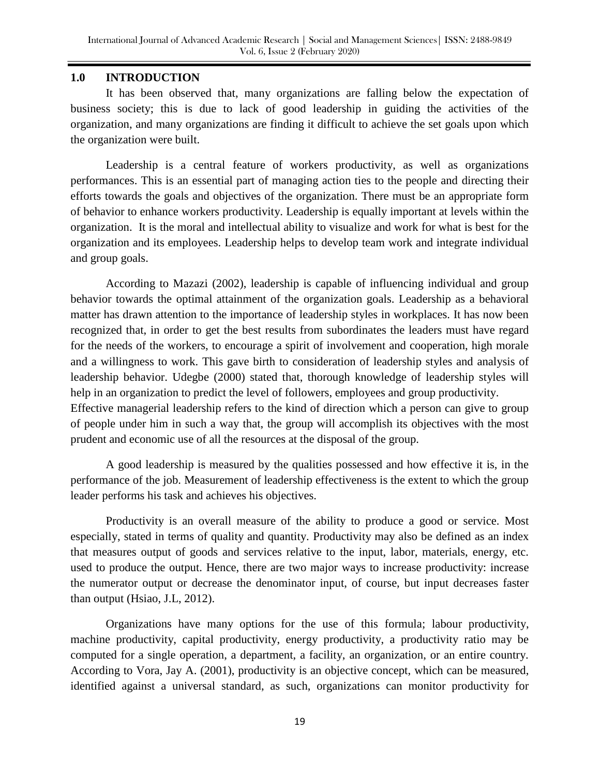## **1.0 INTRODUCTION**

It has been observed that, many organizations are falling below the expectation of business society; this is due to lack of good leadership in guiding the activities of the organization, and many organizations are finding it difficult to achieve the set goals upon which the organization were built.

Leadership is a central feature of workers productivity, as well as organizations performances. This is an essential part of managing action ties to the people and directing their efforts towards the goals and objectives of the organization. There must be an appropriate form of behavior to enhance workers productivity. Leadership is equally important at levels within the organization. It is the moral and intellectual ability to visualize and work for what is best for the organization and its employees. Leadership helps to develop team work and integrate individual and group goals.

According to Mazazi (2002), leadership is capable of influencing individual and group behavior towards the optimal attainment of the organization goals. Leadership as a behavioral matter has drawn attention to the importance of leadership styles in workplaces. It has now been recognized that, in order to get the best results from subordinates the leaders must have regard for the needs of the workers, to encourage a spirit of involvement and cooperation, high morale and a willingness to work. This gave birth to consideration of leadership styles and analysis of leadership behavior. Udegbe (2000) stated that, thorough knowledge of leadership styles will help in an organization to predict the level of followers, employees and group productivity. Effective managerial leadership refers to the kind of direction which a person can give to group of people under him in such a way that, the group will accomplish its objectives with the most prudent and economic use of all the resources at the disposal of the group.

A good leadership is measured by the qualities possessed and how effective it is, in the performance of the job. Measurement of leadership effectiveness is the extent to which the group leader performs his task and achieves his objectives.

Productivity is an overall measure of the ability to produce a good or service. Most especially, stated in terms of quality and quantity. Productivity may also be defined as an index that measures output of goods and services relative to the input, labor, materials, energy, etc. used to produce the output. Hence, there are two major ways to increase productivity: increase the numerator output or decrease the denominator input, of course, but input decreases faster than output (Hsiao, J.L, 2012).

Organizations have many options for the use of this formula; labour productivity, machine productivity, capital productivity, energy productivity, a productivity ratio may be computed for a single operation, a department, a facility, an organization, or an entire country. According to Vora, Jay A. (2001), productivity is an objective concept, which can be measured, identified against a universal standard, as such, organizations can monitor productivity for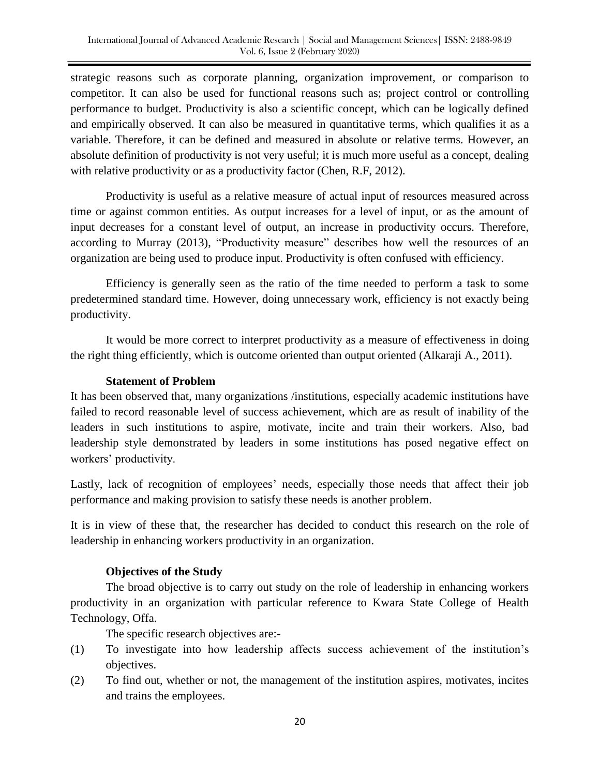strategic reasons such as corporate planning, organization improvement, or comparison to competitor. It can also be used for functional reasons such as; project control or controlling performance to budget. Productivity is also a scientific concept, which can be logically defined and empirically observed. It can also be measured in quantitative terms, which qualifies it as a variable. Therefore, it can be defined and measured in absolute or relative terms. However, an absolute definition of productivity is not very useful; it is much more useful as a concept, dealing with relative productivity or as a productivity factor (Chen, R.F, 2012).

Productivity is useful as a relative measure of actual input of resources measured across time or against common entities. As output increases for a level of input, or as the amount of input decreases for a constant level of output, an increase in productivity occurs. Therefore, according to Murray (2013), "Productivity measure" describes how well the resources of an organization are being used to produce input. Productivity is often confused with efficiency.

Efficiency is generally seen as the ratio of the time needed to perform a task to some predetermined standard time. However, doing unnecessary work, efficiency is not exactly being productivity.

It would be more correct to interpret productivity as a measure of effectiveness in doing the right thing efficiently, which is outcome oriented than output oriented (Alkaraji A., 2011).

## **Statement of Problem**

It has been observed that, many organizations /institutions, especially academic institutions have failed to record reasonable level of success achievement, which are as result of inability of the leaders in such institutions to aspire, motivate, incite and train their workers. Also, bad leadership style demonstrated by leaders in some institutions has posed negative effect on workers' productivity.

Lastly, lack of recognition of employees' needs, especially those needs that affect their job performance and making provision to satisfy these needs is another problem.

It is in view of these that, the researcher has decided to conduct this research on the role of leadership in enhancing workers productivity in an organization.

## **Objectives of the Study**

The broad objective is to carry out study on the role of leadership in enhancing workers productivity in an organization with particular reference to Kwara State College of Health Technology, Offa.

The specific research objectives are:-

- (1) To investigate into how leadership affects success achievement of the institution's objectives.
- (2) To find out, whether or not, the management of the institution aspires, motivates, incites and trains the employees.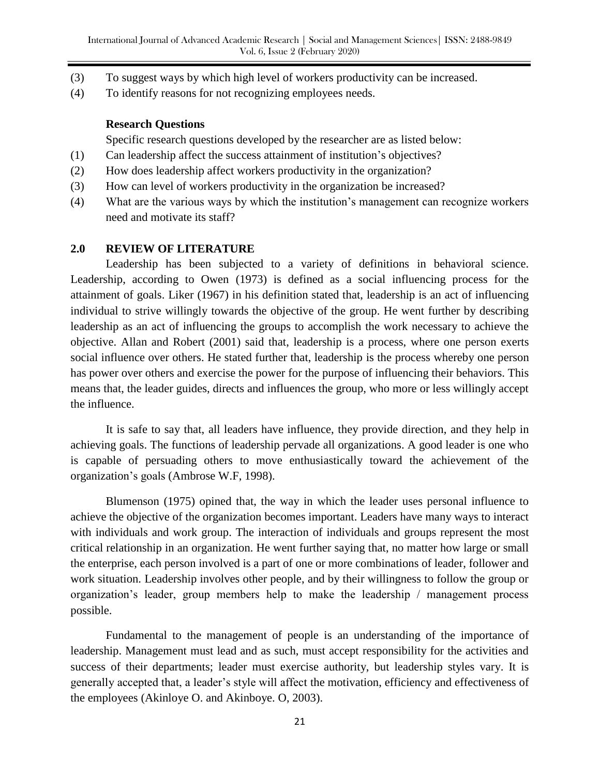- (3) To suggest ways by which high level of workers productivity can be increased.
- (4) To identify reasons for not recognizing employees needs.

#### **Research Questions**

Specific research questions developed by the researcher are as listed below:

- (1) Can leadership affect the success attainment of institution's objectives?
- (2) How does leadership affect workers productivity in the organization?
- (3) How can level of workers productivity in the organization be increased?
- (4) What are the various ways by which the institution's management can recognize workers need and motivate its staff?

#### **2.0 REVIEW OF LITERATURE**

Leadership has been subjected to a variety of definitions in behavioral science. Leadership, according to Owen (1973) is defined as a social influencing process for the attainment of goals. Liker (1967) in his definition stated that, leadership is an act of influencing individual to strive willingly towards the objective of the group. He went further by describing leadership as an act of influencing the groups to accomplish the work necessary to achieve the objective. Allan and Robert (2001) said that, leadership is a process, where one person exerts social influence over others. He stated further that, leadership is the process whereby one person has power over others and exercise the power for the purpose of influencing their behaviors. This means that, the leader guides, directs and influences the group, who more or less willingly accept the influence.

It is safe to say that, all leaders have influence, they provide direction, and they help in achieving goals. The functions of leadership pervade all organizations. A good leader is one who is capable of persuading others to move enthusiastically toward the achievement of the organization's goals (Ambrose W.F, 1998).

Blumenson (1975) opined that, the way in which the leader uses personal influence to achieve the objective of the organization becomes important. Leaders have many ways to interact with individuals and work group. The interaction of individuals and groups represent the most critical relationship in an organization. He went further saying that, no matter how large or small the enterprise, each person involved is a part of one or more combinations of leader, follower and work situation. Leadership involves other people, and by their willingness to follow the group or organization's leader, group members help to make the leadership / management process possible.

Fundamental to the management of people is an understanding of the importance of leadership. Management must lead and as such, must accept responsibility for the activities and success of their departments; leader must exercise authority, but leadership styles vary. It is generally accepted that, a leader's style will affect the motivation, efficiency and effectiveness of the employees (Akinloye O. and Akinboye. O, 2003).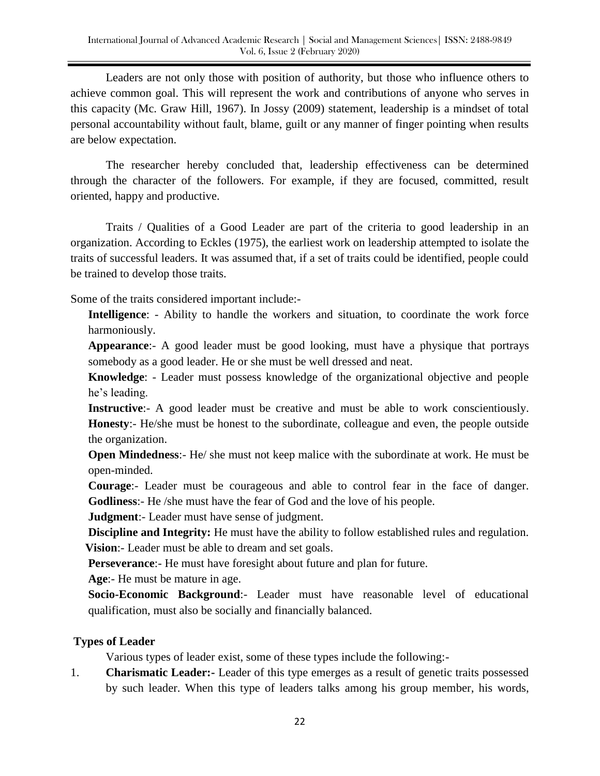Leaders are not only those with position of authority, but those who influence others to achieve common goal. This will represent the work and contributions of anyone who serves in this capacity (Mc. Graw Hill, 1967). In Jossy (2009) statement, leadership is a mindset of total personal accountability without fault, blame, guilt or any manner of finger pointing when results are below expectation.

The researcher hereby concluded that, leadership effectiveness can be determined through the character of the followers. For example, if they are focused, committed, result oriented, happy and productive.

Traits / Qualities of a Good Leader are part of the criteria to good leadership in an organization. According to Eckles (1975), the earliest work on leadership attempted to isolate the traits of successful leaders. It was assumed that, if a set of traits could be identified, people could be trained to develop those traits.

Some of the traits considered important include:-

**Intelligence**: - Ability to handle the workers and situation, to coordinate the work force harmoniously.

**Appearance**:- A good leader must be good looking, must have a physique that portrays somebody as a good leader. He or she must be well dressed and neat.

**Knowledge**: - Leader must possess knowledge of the organizational objective and people he's leading.

**Instructive**:- A good leader must be creative and must be able to work conscientiously. **Honesty**:- He/she must be honest to the subordinate, colleague and even, the people outside the organization.

**Open Mindedness**:- He/ she must not keep malice with the subordinate at work. He must be open-minded.

**Courage**:- Leader must be courageous and able to control fear in the face of danger. **Godliness**:- He /she must have the fear of God and the love of his people.

**Judgment**:- Leader must have sense of judgment.

**Discipline and Integrity:** He must have the ability to follow established rules and regulation.  **Vision**:- Leader must be able to dream and set goals.

**Perseverance**:- He must have foresight about future and plan for future.

**Age**:- He must be mature in age.

**Socio-Economic Background**:- Leader must have reasonable level of educational qualification, must also be socially and financially balanced.

# **Types of Leader**

Various types of leader exist, some of these types include the following:-

1. **Charismatic Leader:-** Leader of this type emerges as a result of genetic traits possessed by such leader. When this type of leaders talks among his group member, his words,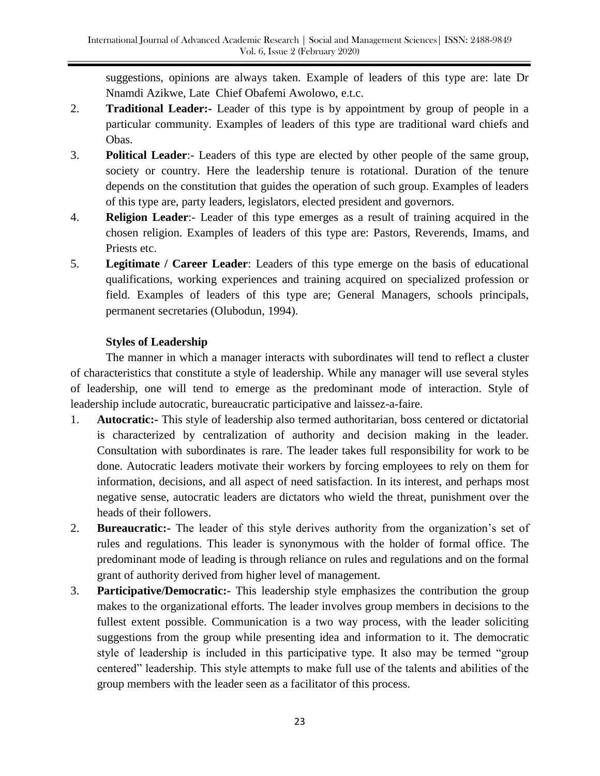suggestions, opinions are always taken. Example of leaders of this type are: late Dr Nnamdi Azikwe, Late Chief Obafemi Awolowo, e.t.c.

- 2. **Traditional Leader:-** Leader of this type is by appointment by group of people in a particular community. Examples of leaders of this type are traditional ward chiefs and Obas.
- 3. **Political Leader**:- Leaders of this type are elected by other people of the same group, society or country. Here the leadership tenure is rotational. Duration of the tenure depends on the constitution that guides the operation of such group. Examples of leaders of this type are, party leaders, legislators, elected president and governors.
- 4. **Religion Leader**:- Leader of this type emerges as a result of training acquired in the chosen religion. Examples of leaders of this type are: Pastors, Reverends, Imams, and Priests etc.
- 5. **Legitimate / Career Leader**: Leaders of this type emerge on the basis of educational qualifications, working experiences and training acquired on specialized profession or field. Examples of leaders of this type are; General Managers, schools principals, permanent secretaries (Olubodun, 1994).

# **Styles of Leadership**

The manner in which a manager interacts with subordinates will tend to reflect a cluster of characteristics that constitute a style of leadership. While any manager will use several styles of leadership, one will tend to emerge as the predominant mode of interaction. Style of leadership include autocratic, bureaucratic participative and laissez-a-faire.

- 1. **Autocratic:-** This style of leadership also termed authoritarian, boss centered or dictatorial is characterized by centralization of authority and decision making in the leader. Consultation with subordinates is rare. The leader takes full responsibility for work to be done. Autocratic leaders motivate their workers by forcing employees to rely on them for information, decisions, and all aspect of need satisfaction. In its interest, and perhaps most negative sense, autocratic leaders are dictators who wield the threat, punishment over the heads of their followers.
- 2. **Bureaucratic:-** The leader of this style derives authority from the organization's set of rules and regulations. This leader is synonymous with the holder of formal office. The predominant mode of leading is through reliance on rules and regulations and on the formal grant of authority derived from higher level of management.
- 3. **Participative/Democratic:-** This leadership style emphasizes the contribution the group makes to the organizational efforts. The leader involves group members in decisions to the fullest extent possible. Communication is a two way process, with the leader soliciting suggestions from the group while presenting idea and information to it. The democratic style of leadership is included in this participative type. It also may be termed "group centered" leadership. This style attempts to make full use of the talents and abilities of the group members with the leader seen as a facilitator of this process.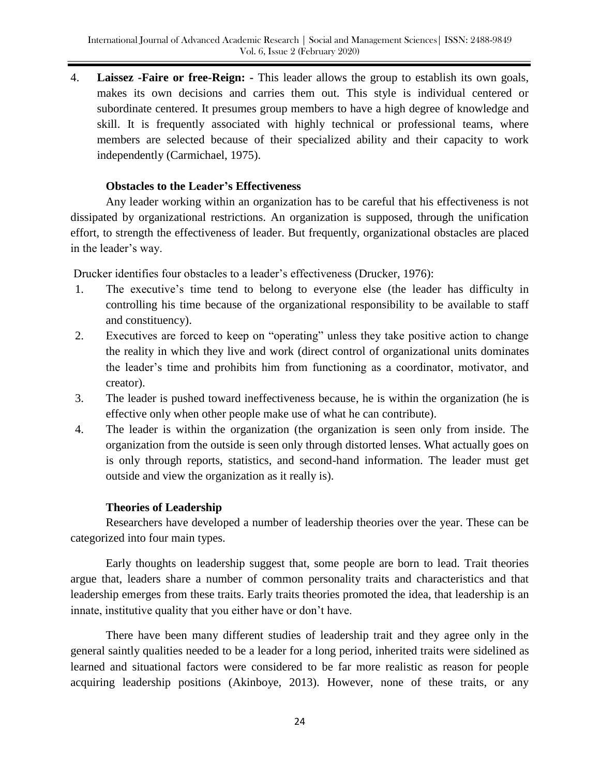4. **Laissez -Faire or free-Reign: -** This leader allows the group to establish its own goals, makes its own decisions and carries them out. This style is individual centered or subordinate centered. It presumes group members to have a high degree of knowledge and skill. It is frequently associated with highly technical or professional teams, where members are selected because of their specialized ability and their capacity to work independently (Carmichael, 1975).

### **Obstacles to the Leader's Effectiveness**

Any leader working within an organization has to be careful that his effectiveness is not dissipated by organizational restrictions. An organization is supposed, through the unification effort, to strength the effectiveness of leader. But frequently, organizational obstacles are placed in the leader's way.

Drucker identifies four obstacles to a leader's effectiveness (Drucker, 1976):

- 1. The executive's time tend to belong to everyone else (the leader has difficulty in controlling his time because of the organizational responsibility to be available to staff and constituency).
- 2. Executives are forced to keep on "operating" unless they take positive action to change the reality in which they live and work (direct control of organizational units dominates the leader's time and prohibits him from functioning as a coordinator, motivator, and creator).
- 3. The leader is pushed toward ineffectiveness because, he is within the organization (he is effective only when other people make use of what he can contribute).
- 4. The leader is within the organization (the organization is seen only from inside. The organization from the outside is seen only through distorted lenses. What actually goes on is only through reports, statistics, and second-hand information. The leader must get outside and view the organization as it really is).

#### **Theories of Leadership**

Researchers have developed a number of leadership theories over the year. These can be categorized into four main types.

Early thoughts on leadership suggest that, some people are born to lead. Trait theories argue that, leaders share a number of common personality traits and characteristics and that leadership emerges from these traits. Early traits theories promoted the idea, that leadership is an innate, institutive quality that you either have or don't have.

There have been many different studies of leadership trait and they agree only in the general saintly qualities needed to be a leader for a long period, inherited traits were sidelined as learned and situational factors were considered to be far more realistic as reason for people acquiring leadership positions (Akinboye, 2013). However, none of these traits, or any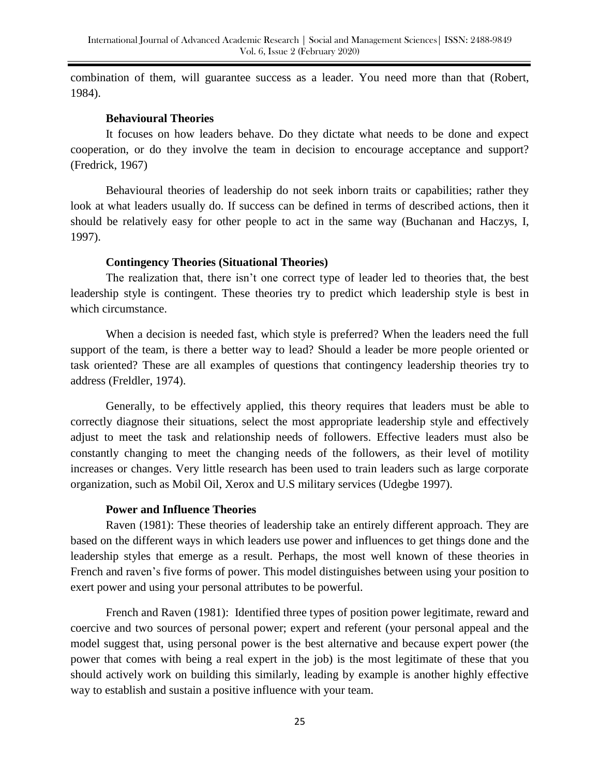combination of them, will guarantee success as a leader. You need more than that (Robert, 1984).

#### **Behavioural Theories**

It focuses on how leaders behave. Do they dictate what needs to be done and expect cooperation, or do they involve the team in decision to encourage acceptance and support? (Fredrick, 1967)

Behavioural theories of leadership do not seek inborn traits or capabilities; rather they look at what leaders usually do. If success can be defined in terms of described actions, then it should be relatively easy for other people to act in the same way (Buchanan and Haczys, I, 1997).

#### **Contingency Theories (Situational Theories)**

The realization that, there isn't one correct type of leader led to theories that, the best leadership style is contingent. These theories try to predict which leadership style is best in which circumstance.

When a decision is needed fast, which style is preferred? When the leaders need the full support of the team, is there a better way to lead? Should a leader be more people oriented or task oriented? These are all examples of questions that contingency leadership theories try to address (Freldler, 1974).

Generally, to be effectively applied, this theory requires that leaders must be able to correctly diagnose their situations, select the most appropriate leadership style and effectively adjust to meet the task and relationship needs of followers. Effective leaders must also be constantly changing to meet the changing needs of the followers, as their level of motility increases or changes. Very little research has been used to train leaders such as large corporate organization, such as Mobil Oil, Xerox and U.S military services (Udegbe 1997).

#### **Power and Influence Theories**

Raven (1981): These theories of leadership take an entirely different approach. They are based on the different ways in which leaders use power and influences to get things done and the leadership styles that emerge as a result. Perhaps, the most well known of these theories in French and raven's five forms of power. This model distinguishes between using your position to exert power and using your personal attributes to be powerful.

French and Raven (1981): Identified three types of position power legitimate, reward and coercive and two sources of personal power; expert and referent (your personal appeal and the model suggest that, using personal power is the best alternative and because expert power (the power that comes with being a real expert in the job) is the most legitimate of these that you should actively work on building this similarly, leading by example is another highly effective way to establish and sustain a positive influence with your team.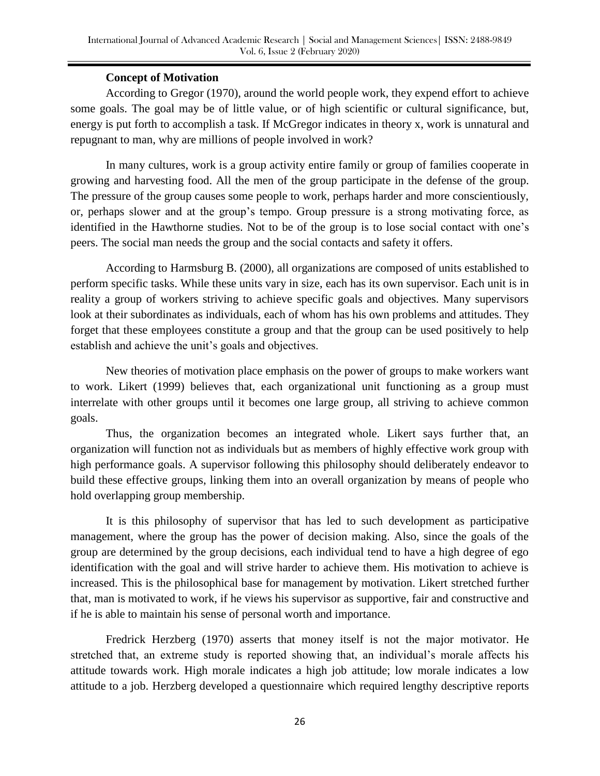# **Concept of Motivation**

According to Gregor (1970), around the world people work, they expend effort to achieve some goals. The goal may be of little value, or of high scientific or cultural significance, but, energy is put forth to accomplish a task. If McGregor indicates in theory x, work is unnatural and repugnant to man, why are millions of people involved in work?

In many cultures, work is a group activity entire family or group of families cooperate in growing and harvesting food. All the men of the group participate in the defense of the group. The pressure of the group causes some people to work, perhaps harder and more conscientiously, or, perhaps slower and at the group's tempo. Group pressure is a strong motivating force, as identified in the Hawthorne studies. Not to be of the group is to lose social contact with one's peers. The social man needs the group and the social contacts and safety it offers.

According to Harmsburg B. (2000), all organizations are composed of units established to perform specific tasks. While these units vary in size, each has its own supervisor. Each unit is in reality a group of workers striving to achieve specific goals and objectives. Many supervisors look at their subordinates as individuals, each of whom has his own problems and attitudes. They forget that these employees constitute a group and that the group can be used positively to help establish and achieve the unit's goals and objectives.

New theories of motivation place emphasis on the power of groups to make workers want to work. Likert (1999) believes that, each organizational unit functioning as a group must interrelate with other groups until it becomes one large group, all striving to achieve common goals.

Thus, the organization becomes an integrated whole. Likert says further that, an organization will function not as individuals but as members of highly effective work group with high performance goals. A supervisor following this philosophy should deliberately endeavor to build these effective groups, linking them into an overall organization by means of people who hold overlapping group membership.

It is this philosophy of supervisor that has led to such development as participative management, where the group has the power of decision making. Also, since the goals of the group are determined by the group decisions, each individual tend to have a high degree of ego identification with the goal and will strive harder to achieve them. His motivation to achieve is increased. This is the philosophical base for management by motivation. Likert stretched further that, man is motivated to work, if he views his supervisor as supportive, fair and constructive and if he is able to maintain his sense of personal worth and importance.

Fredrick Herzberg (1970) asserts that money itself is not the major motivator. He stretched that, an extreme study is reported showing that, an individual's morale affects his attitude towards work. High morale indicates a high job attitude; low morale indicates a low attitude to a job. Herzberg developed a questionnaire which required lengthy descriptive reports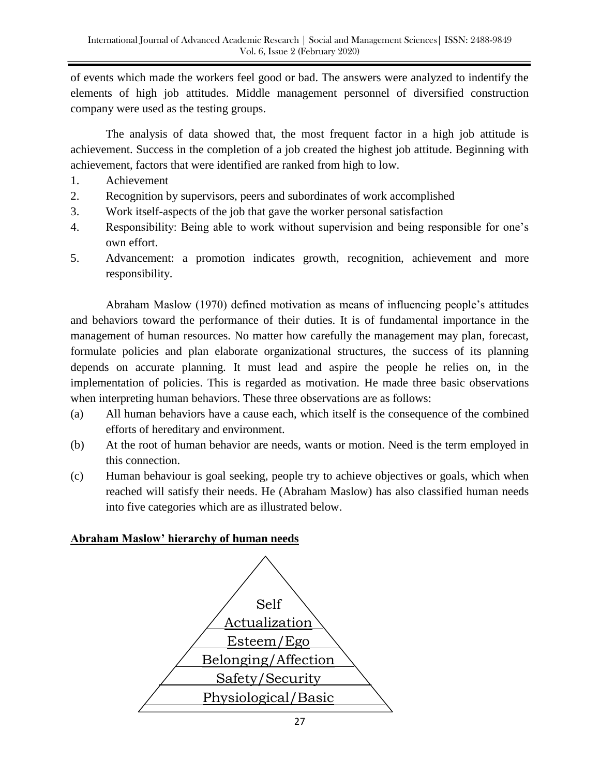of events which made the workers feel good or bad. The answers were analyzed to indentify the elements of high job attitudes. Middle management personnel of diversified construction company were used as the testing groups.

The analysis of data showed that, the most frequent factor in a high job attitude is achievement. Success in the completion of a job created the highest job attitude. Beginning with achievement, factors that were identified are ranked from high to low.

- 1. Achievement
- 2. Recognition by supervisors, peers and subordinates of work accomplished
- 3. Work itself-aspects of the job that gave the worker personal satisfaction
- 4. Responsibility: Being able to work without supervision and being responsible for one's own effort.
- 5. Advancement: a promotion indicates growth, recognition, achievement and more responsibility.

Abraham Maslow (1970) defined motivation as means of influencing people's attitudes and behaviors toward the performance of their duties. It is of fundamental importance in the management of human resources. No matter how carefully the management may plan, forecast, formulate policies and plan elaborate organizational structures, the success of its planning depends on accurate planning. It must lead and aspire the people he relies on, in the implementation of policies. This is regarded as motivation. He made three basic observations when interpreting human behaviors. These three observations are as follows:

- (a) All human behaviors have a cause each, which itself is the consequence of the combined efforts of hereditary and environment.
- (b) At the root of human behavior are needs, wants or motion. Need is the term employed in this connection.
- (c) Human behaviour is goal seeking, people try to achieve objectives or goals, which when reached will satisfy their needs. He (Abraham Maslow) has also classified human needs into five categories which are as illustrated below.

## **Abraham Maslow' hierarchy of human needs**

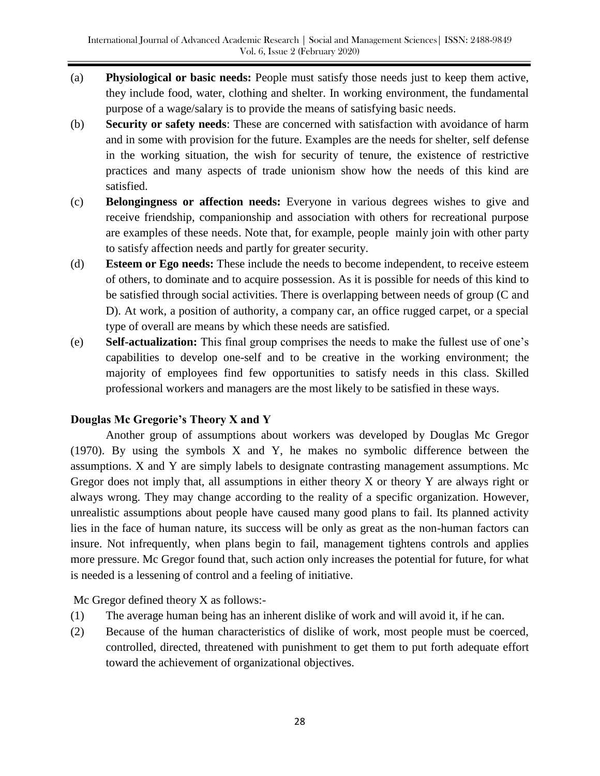- (a) **Physiological or basic needs:** People must satisfy those needs just to keep them active, they include food, water, clothing and shelter. In working environment, the fundamental purpose of a wage/salary is to provide the means of satisfying basic needs.
- (b) **Security or safety needs**: These are concerned with satisfaction with avoidance of harm and in some with provision for the future. Examples are the needs for shelter, self defense in the working situation, the wish for security of tenure, the existence of restrictive practices and many aspects of trade unionism show how the needs of this kind are satisfied.
- (c) **Belongingness or affection needs:** Everyone in various degrees wishes to give and receive friendship, companionship and association with others for recreational purpose are examples of these needs. Note that, for example, people mainly join with other party to satisfy affection needs and partly for greater security.
- (d) **Esteem or Ego needs:** These include the needs to become independent, to receive esteem of others, to dominate and to acquire possession. As it is possible for needs of this kind to be satisfied through social activities. There is overlapping between needs of group (C and D). At work, a position of authority, a company car, an office rugged carpet, or a special type of overall are means by which these needs are satisfied.
- (e) **Self-actualization:** This final group comprises the needs to make the fullest use of one's capabilities to develop one-self and to be creative in the working environment; the majority of employees find few opportunities to satisfy needs in this class. Skilled professional workers and managers are the most likely to be satisfied in these ways.

# **Douglas Mc Gregorie's Theory X and Y**

Another group of assumptions about workers was developed by Douglas Mc Gregor (1970). By using the symbols X and Y, he makes no symbolic difference between the assumptions. X and Y are simply labels to designate contrasting management assumptions. Mc Gregor does not imply that, all assumptions in either theory X or theory Y are always right or always wrong. They may change according to the reality of a specific organization. However, unrealistic assumptions about people have caused many good plans to fail. Its planned activity lies in the face of human nature, its success will be only as great as the non-human factors can insure. Not infrequently, when plans begin to fail, management tightens controls and applies more pressure. Mc Gregor found that, such action only increases the potential for future, for what is needed is a lessening of control and a feeling of initiative.

Mc Gregor defined theory X as follows:-

- (1) The average human being has an inherent dislike of work and will avoid it, if he can.
- (2) Because of the human characteristics of dislike of work, most people must be coerced, controlled, directed, threatened with punishment to get them to put forth adequate effort toward the achievement of organizational objectives.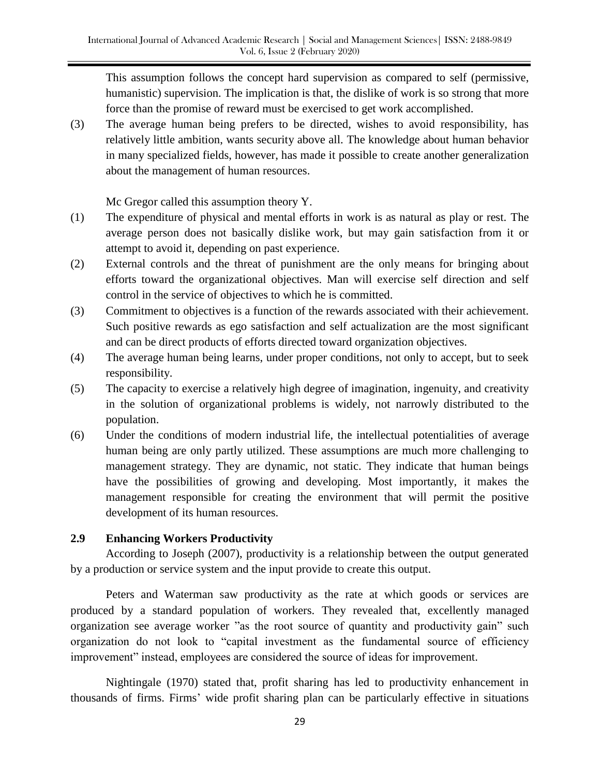This assumption follows the concept hard supervision as compared to self (permissive, humanistic) supervision. The implication is that, the dislike of work is so strong that more force than the promise of reward must be exercised to get work accomplished.

(3) The average human being prefers to be directed, wishes to avoid responsibility, has relatively little ambition, wants security above all. The knowledge about human behavior in many specialized fields, however, has made it possible to create another generalization about the management of human resources.

Mc Gregor called this assumption theory Y.

- (1) The expenditure of physical and mental efforts in work is as natural as play or rest. The average person does not basically dislike work, but may gain satisfaction from it or attempt to avoid it, depending on past experience.
- (2) External controls and the threat of punishment are the only means for bringing about efforts toward the organizational objectives. Man will exercise self direction and self control in the service of objectives to which he is committed.
- (3) Commitment to objectives is a function of the rewards associated with their achievement. Such positive rewards as ego satisfaction and self actualization are the most significant and can be direct products of efforts directed toward organization objectives.
- (4) The average human being learns, under proper conditions, not only to accept, but to seek responsibility.
- (5) The capacity to exercise a relatively high degree of imagination, ingenuity, and creativity in the solution of organizational problems is widely, not narrowly distributed to the population.
- (6) Under the conditions of modern industrial life, the intellectual potentialities of average human being are only partly utilized. These assumptions are much more challenging to management strategy. They are dynamic, not static. They indicate that human beings have the possibilities of growing and developing. Most importantly, it makes the management responsible for creating the environment that will permit the positive development of its human resources.

# **2.9 Enhancing Workers Productivity**

According to Joseph (2007), productivity is a relationship between the output generated by a production or service system and the input provide to create this output.

Peters and Waterman saw productivity as the rate at which goods or services are produced by a standard population of workers. They revealed that, excellently managed organization see average worker "as the root source of quantity and productivity gain" such organization do not look to "capital investment as the fundamental source of efficiency improvement" instead, employees are considered the source of ideas for improvement.

Nightingale (1970) stated that, profit sharing has led to productivity enhancement in thousands of firms. Firms' wide profit sharing plan can be particularly effective in situations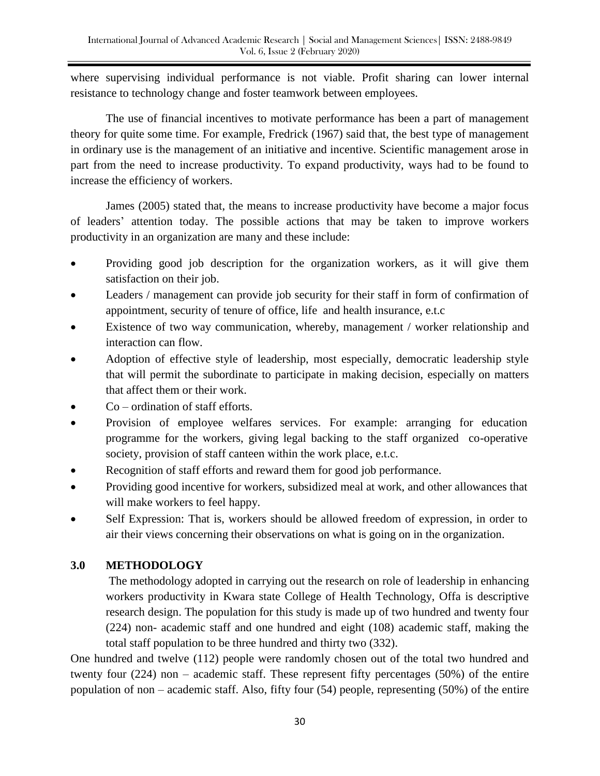where supervising individual performance is not viable. Profit sharing can lower internal resistance to technology change and foster teamwork between employees.

The use of financial incentives to motivate performance has been a part of management theory for quite some time. For example, Fredrick (1967) said that, the best type of management in ordinary use is the management of an initiative and incentive. Scientific management arose in part from the need to increase productivity. To expand productivity, ways had to be found to increase the efficiency of workers.

James (2005) stated that, the means to increase productivity have become a major focus of leaders' attention today. The possible actions that may be taken to improve workers productivity in an organization are many and these include:

- Providing good job description for the organization workers, as it will give them satisfaction on their job.
- Leaders / management can provide job security for their staff in form of confirmation of appointment, security of tenure of office, life and health insurance, e.t.c
- Existence of two way communication, whereby, management / worker relationship and interaction can flow.
- Adoption of effective style of leadership, most especially, democratic leadership style that will permit the subordinate to participate in making decision, especially on matters that affect them or their work.
- Co ordination of staff efforts.
- Provision of employee welfares services. For example: arranging for education programme for the workers, giving legal backing to the staff organized co-operative society, provision of staff canteen within the work place, e.t.c.
- Recognition of staff efforts and reward them for good job performance.
- Providing good incentive for workers, subsidized meal at work, and other allowances that will make workers to feel happy.
- Self Expression: That is, workers should be allowed freedom of expression, in order to air their views concerning their observations on what is going on in the organization.

# **3.0 METHODOLOGY**

The methodology adopted in carrying out the research on role of leadership in enhancing workers productivity in Kwara state College of Health Technology, Offa is descriptive research design. The population for this study is made up of two hundred and twenty four (224) non- academic staff and one hundred and eight (108) academic staff, making the total staff population to be three hundred and thirty two (332).

One hundred and twelve (112) people were randomly chosen out of the total two hundred and twenty four (224) non – academic staff. These represent fifty percentages (50%) of the entire population of non – academic staff. Also, fifty four (54) people, representing (50%) of the entire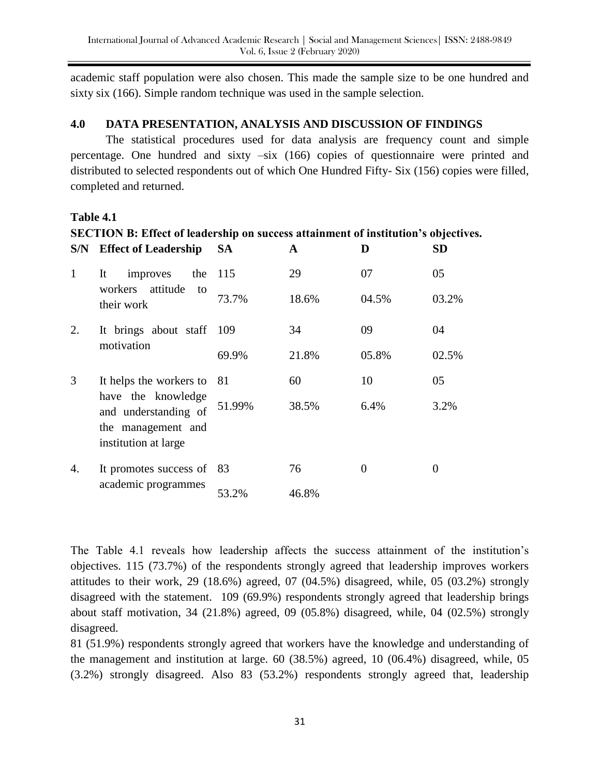academic staff population were also chosen. This made the sample size to be one hundred and sixty six (166). Simple random technique was used in the sample selection.

## **4.0 DATA PRESENTATION, ANALYSIS AND DISCUSSION OF FINDINGS**

 The statistical procedures used for data analysis are frequency count and simple percentage. One hundred and sixty –six (166) copies of questionnaire were printed and distributed to selected respondents out of which One Hundred Fifty- Six (156) copies were filled, completed and returned.

### **Table 4.1**

|  | <b>SECTION B: Effect of leadership on success attainment of institution's objectives.</b> |
|--|-------------------------------------------------------------------------------------------|
|  |                                                                                           |

| S/N | <b>Effect of Leadership</b>                                                              | SА     | A     | D     | <b>SD</b> |
|-----|------------------------------------------------------------------------------------------|--------|-------|-------|-----------|
| 1   | improves<br>It<br>the                                                                    | 115    | 29    | 07    | 05        |
|     | attitude<br>workers<br>to<br>their work                                                  | 73.7%  | 18.6% | 04.5% | 03.2%     |
| 2.  | It brings about staff 109<br>motivation                                                  |        | 34    | 09    | 04        |
|     |                                                                                          | 69.9%  | 21.8% | 05.8% | 02.5%     |
| 3   | It helps the workers to 81                                                               |        | 60    | 10    | 05        |
|     | have the knowledge<br>and understanding of<br>the management and<br>institution at large | 51.99% | 38.5% | 6.4%  | 3.2%      |
| 4.  | It promotes success of 83                                                                |        | 76    | 0     | 0         |
|     | academic programmes                                                                      | 53.2%  | 46.8% |       |           |

The Table 4.1 reveals how leadership affects the success attainment of the institution's objectives. 115 (73.7%) of the respondents strongly agreed that leadership improves workers attitudes to their work, 29 (18.6%) agreed, 07 (04.5%) disagreed, while, 05 (03.2%) strongly disagreed with the statement. 109 (69.9%) respondents strongly agreed that leadership brings about staff motivation, 34 (21.8%) agreed, 09 (05.8%) disagreed, while, 04 (02.5%) strongly disagreed.

81 (51.9%) respondents strongly agreed that workers have the knowledge and understanding of the management and institution at large. 60 (38.5%) agreed, 10 (06.4%) disagreed, while, 05 (3.2%) strongly disagreed. Also 83 (53.2%) respondents strongly agreed that, leadership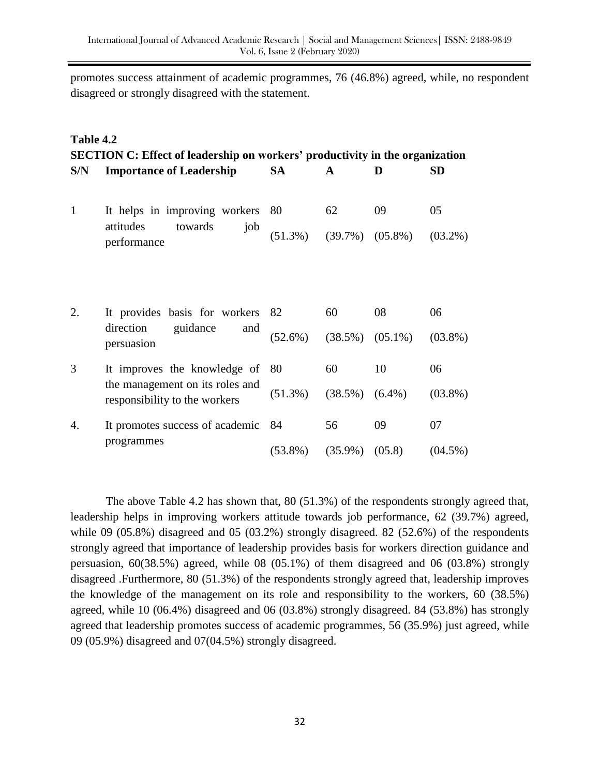promotes success attainment of academic programmes, 76 (46.8%) agreed, while, no respondent disagreed or strongly disagreed with the statement.

| Table 4.2<br><b>SECTION C: Effect of leadership on workers' productivity in the organization</b> |                                                                  |            |              |                       |            |  |  |
|--------------------------------------------------------------------------------------------------|------------------------------------------------------------------|------------|--------------|-----------------------|------------|--|--|
| S/N                                                                                              | <b>Importance of Leadership</b>                                  | <b>SA</b>  | $\mathbf{A}$ | D                     | <b>SD</b>  |  |  |
| $\mathbf{1}$                                                                                     | It helps in improving workers 80                                 |            | 62           | 09                    | 05         |  |  |
|                                                                                                  | attitudes<br>towards<br>job<br>performance                       | $(51.3\%)$ |              | $(39.7\%)$ $(05.8\%)$ | $(03.2\%)$ |  |  |
| 2.                                                                                               | It provides basis for workers 82                                 |            | 60           | 08                    | 06         |  |  |
|                                                                                                  | direction<br>guidance<br>and<br>persuasion                       | $(52.6\%)$ | $(38.5\%)$   | $(05.1\%)$            | $(03.8\%)$ |  |  |
| 3                                                                                                | It improves the knowledge of 80                                  |            | 60           | 10                    | 06         |  |  |
|                                                                                                  | the management on its roles and<br>responsibility to the workers | $(51.3\%)$ | $(38.5\%)$   | $(6.4\%)$             | $(03.8\%)$ |  |  |
| 4.                                                                                               | It promotes success of academic 84                               |            | 56           | 09                    | 07         |  |  |
|                                                                                                  | programmes                                                       | $(53.8\%)$ | $(35.9\%)$   | (05.8)                | $(04.5\%)$ |  |  |

The above Table 4.2 has shown that, 80 (51.3%) of the respondents strongly agreed that, leadership helps in improving workers attitude towards job performance, 62 (39.7%) agreed, while 09 (05.8%) disagreed and 05 (03.2%) strongly disagreed. 82 (52.6%) of the respondents strongly agreed that importance of leadership provides basis for workers direction guidance and persuasion, 60(38.5%) agreed, while 08 (05.1%) of them disagreed and 06 (03.8%) strongly disagreed .Furthermore, 80 (51.3%) of the respondents strongly agreed that, leadership improves the knowledge of the management on its role and responsibility to the workers, 60 (38.5%) agreed, while 10 (06.4%) disagreed and 06 (03.8%) strongly disagreed. 84 (53.8%) has strongly agreed that leadership promotes success of academic programmes, 56 (35.9%) just agreed, while 09 (05.9%) disagreed and 07(04.5%) strongly disagreed.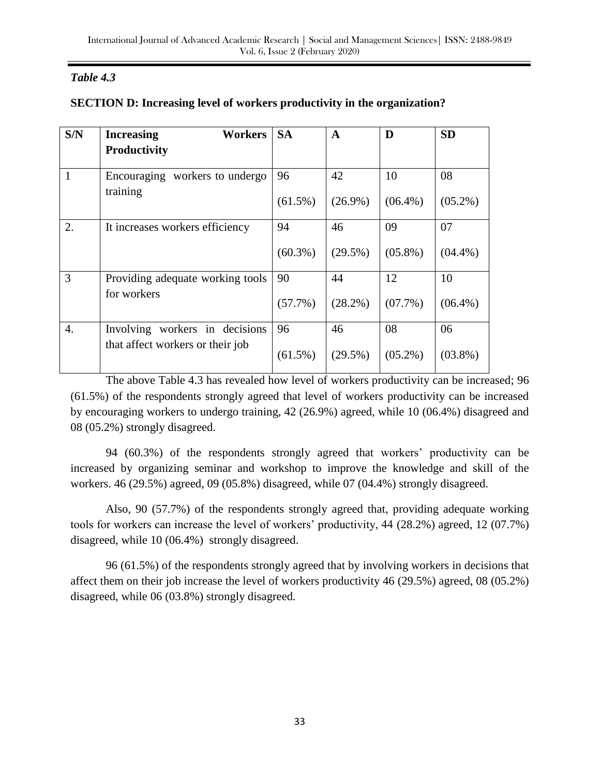# *Table 4.3*

| S/N              | Workers<br><b>Increasing</b><br>Productivity | <b>SA</b>        | $\mathbf{A}$     | D                | <b>SD</b>        |
|------------------|----------------------------------------------|------------------|------------------|------------------|------------------|
| $\mathbf{1}$     | Encouraging workers to undergo               | 96               | 42               | 10               | 08               |
|                  | training                                     | $(61.5\%)$       | $(26.9\%)$       | $(06.4\%)$       | $(05.2\%)$       |
| 2.               | It increases workers efficiency              | 94<br>$(60.3\%)$ | 46<br>$(29.5\%)$ | 09<br>$(05.8\%)$ | 07<br>$(04.4\%)$ |
| 3                | Providing adequate working tools             | 90               | 44               | 12               | 10               |
|                  | for workers                                  | $(57.7\%)$       | $(28.2\%)$       | $(07.7\%)$       | $(06.4\%)$       |
| $\overline{4}$ . | Involving workers in decisions               | 96               | 46               | 08               | 06               |
|                  | that affect workers or their job             | $(61.5\%)$       | $(29.5\%)$       | $(05.2\%)$       | $(03.8\%)$       |

# **SECTION D: Increasing level of workers productivity in the organization?**

The above Table 4.3 has revealed how level of workers productivity can be increased; 96 (61.5%) of the respondents strongly agreed that level of workers productivity can be increased by encouraging workers to undergo training, 42 (26.9%) agreed, while 10 (06.4%) disagreed and 08 (05.2%) strongly disagreed.

94 (60.3%) of the respondents strongly agreed that workers' productivity can be increased by organizing seminar and workshop to improve the knowledge and skill of the workers. 46 (29.5%) agreed, 09 (05.8%) disagreed, while 07 (04.4%) strongly disagreed.

Also, 90 (57.7%) of the respondents strongly agreed that, providing adequate working tools for workers can increase the level of workers' productivity, 44 (28.2%) agreed, 12 (07.7%) disagreed, while 10 (06.4%) strongly disagreed.

96 (61.5%) of the respondents strongly agreed that by involving workers in decisions that affect them on their job increase the level of workers productivity 46 (29.5%) agreed, 08 (05.2%) disagreed, while 06 (03.8%) strongly disagreed.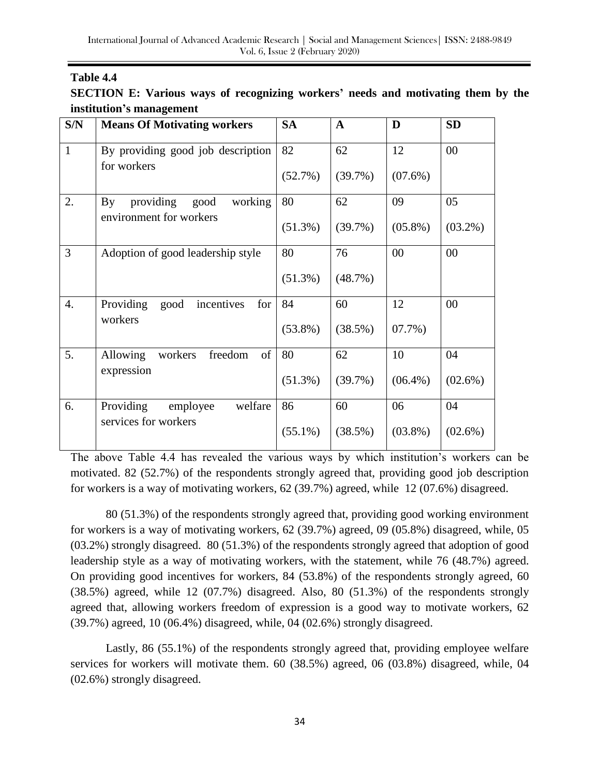# **Table 4.4**

|                          |  | SECTION E: Various ways of recognizing workers' needs and motivating them by the |  |  |  |  |
|--------------------------|--|----------------------------------------------------------------------------------|--|--|--|--|
| institution's management |  |                                                                                  |  |  |  |  |

| S/N          | <b>Means Of Motivating workers</b>                                                 | <b>SA</b>  | $\mathbf A$ | D          | <b>SD</b>  |
|--------------|------------------------------------------------------------------------------------|------------|-------------|------------|------------|
| $\mathbf{1}$ | By providing good job description<br>for workers                                   | 82         | 62          | 12         | 00         |
|              |                                                                                    | (52.7%)    | (39.7%)     | $(07.6\%)$ |            |
| 2.           | providing<br>working<br>good<br>$\mathbf{B} \mathbf{y}$<br>environment for workers | 80         | 62          | 09         | 05         |
|              |                                                                                    | $(51.3\%)$ | (39.7%)     | $(05.8\%)$ | $(03.2\%)$ |
| 3            | Adoption of good leadership style                                                  | 80         | 76          | 00         | 00         |
|              |                                                                                    | $(51.3\%)$ | $(48.7\%)$  |            |            |
| 4.           | Providing<br>incentives<br>for<br>good<br>workers                                  | 84         | 60          | 12         | 00         |
|              |                                                                                    | $(53.8\%)$ | (38.5%)     | $07.7\%)$  |            |
| 5.           | of<br>Allowing<br>freedom<br>workers<br>expression                                 | 80         | 62          | 10         | 04         |
|              |                                                                                    | $(51.3\%)$ | (39.7%)     | $(06.4\%)$ | $(02.6\%)$ |
| 6.           | Providing<br>welfare<br>employee<br>services for workers                           | 86         | 60          | 06         | 04         |
|              |                                                                                    | $(55.1\%)$ | (38.5%)     | $(03.8\%)$ | $(02.6\%)$ |

The above Table 4.4 has revealed the various ways by which institution's workers can be motivated. 82 (52.7%) of the respondents strongly agreed that, providing good job description for workers is a way of motivating workers, 62 (39.7%) agreed, while 12 (07.6%) disagreed.

80 (51.3%) of the respondents strongly agreed that, providing good working environment for workers is a way of motivating workers, 62 (39.7%) agreed, 09 (05.8%) disagreed, while, 05 (03.2%) strongly disagreed. 80 (51.3%) of the respondents strongly agreed that adoption of good leadership style as a way of motivating workers, with the statement, while 76 (48.7%) agreed. On providing good incentives for workers, 84 (53.8%) of the respondents strongly agreed, 60 (38.5%) agreed, while 12 (07.7%) disagreed. Also, 80 (51.3%) of the respondents strongly agreed that, allowing workers freedom of expression is a good way to motivate workers, 62 (39.7%) agreed, 10 (06.4%) disagreed, while, 04 (02.6%) strongly disagreed.

Lastly, 86 (55.1%) of the respondents strongly agreed that, providing employee welfare services for workers will motivate them. 60 (38.5%) agreed, 06 (03.8%) disagreed, while, 04 (02.6%) strongly disagreed.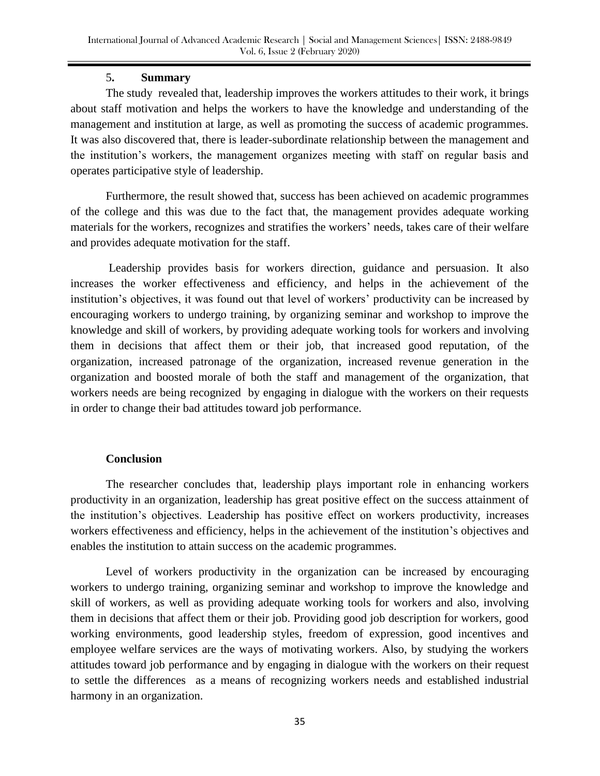# 5**. Summary**

The study revealed that, leadership improves the workers attitudes to their work, it brings about staff motivation and helps the workers to have the knowledge and understanding of the management and institution at large, as well as promoting the success of academic programmes. It was also discovered that, there is leader-subordinate relationship between the management and the institution's workers, the management organizes meeting with staff on regular basis and operates participative style of leadership.

Furthermore, the result showed that, success has been achieved on academic programmes of the college and this was due to the fact that, the management provides adequate working materials for the workers, recognizes and stratifies the workers' needs, takes care of their welfare and provides adequate motivation for the staff.

Leadership provides basis for workers direction, guidance and persuasion. It also increases the worker effectiveness and efficiency, and helps in the achievement of the institution's objectives, it was found out that level of workers' productivity can be increased by encouraging workers to undergo training, by organizing seminar and workshop to improve the knowledge and skill of workers, by providing adequate working tools for workers and involving them in decisions that affect them or their job, that increased good reputation, of the organization, increased patronage of the organization, increased revenue generation in the organization and boosted morale of both the staff and management of the organization, that workers needs are being recognized by engaging in dialogue with the workers on their requests in order to change their bad attitudes toward job performance.

## **Conclusion**

The researcher concludes that, leadership plays important role in enhancing workers productivity in an organization, leadership has great positive effect on the success attainment of the institution's objectives. Leadership has positive effect on workers productivity, increases workers effectiveness and efficiency, helps in the achievement of the institution's objectives and enables the institution to attain success on the academic programmes.

Level of workers productivity in the organization can be increased by encouraging workers to undergo training, organizing seminar and workshop to improve the knowledge and skill of workers, as well as providing adequate working tools for workers and also, involving them in decisions that affect them or their job. Providing good job description for workers, good working environments, good leadership styles, freedom of expression, good incentives and employee welfare services are the ways of motivating workers. Also, by studying the workers attitudes toward job performance and by engaging in dialogue with the workers on their request to settle the differences as a means of recognizing workers needs and established industrial harmony in an organization.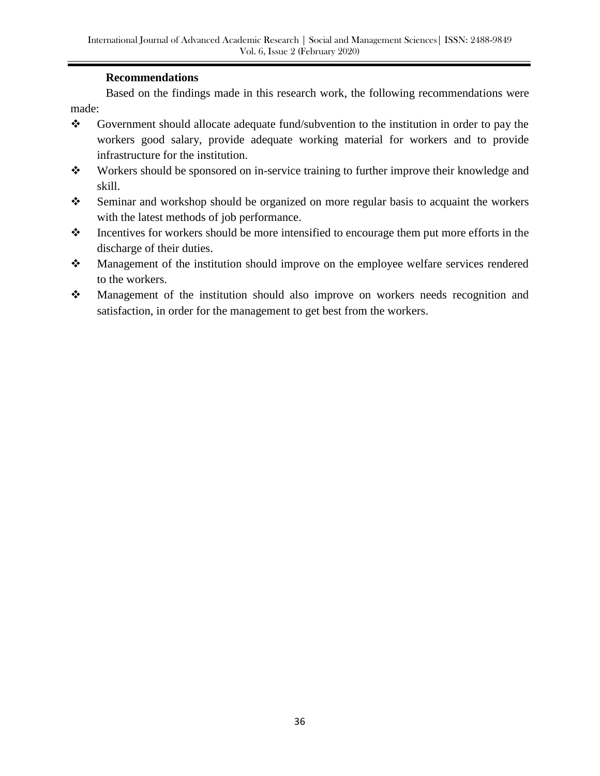## **Recommendations**

Based on the findings made in this research work, the following recommendations were made:

- Government should allocate adequate fund/subvention to the institution in order to pay the workers good salary, provide adequate working material for workers and to provide infrastructure for the institution.
- Workers should be sponsored on in-service training to further improve their knowledge and skill.
- Seminar and workshop should be organized on more regular basis to acquaint the workers with the latest methods of job performance.
- $\cdot \cdot$  Incentives for workers should be more intensified to encourage them put more efforts in the discharge of their duties.
- \* Management of the institution should improve on the employee welfare services rendered to the workers.
- Management of the institution should also improve on workers needs recognition and satisfaction, in order for the management to get best from the workers.